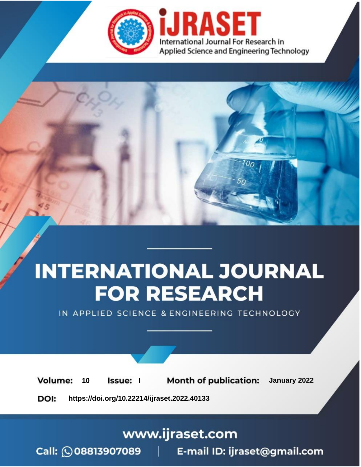

# **INTERNATIONAL JOURNAL FOR RESEARCH**

IN APPLIED SCIENCE & ENGINEERING TECHNOLOGY

**Month of publication:** January 2022 **Volume:** 10 **Issue:** I

DOI: https://doi.org/10.22214/ijraset.2022.40133

www.ijraset.com

Call: 008813907089 | E-mail ID: ijraset@gmail.com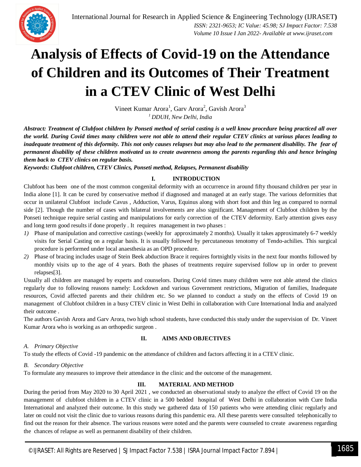

### **Analysis of Effects of Covid-19 on the Attendance of Children and its Outcomes of Their Treatment in a CTEV Clinic of West Delhi**

Vineet Kumar Arora<sup>1</sup>, Garv Arora<sup>2</sup>, Gavish Arora<sup>3</sup> *<sup>1</sup>DDUH, New Delhi, India*

*Abstract: Treatment of Clubfoot children by Ponseti method of serial casting is a well know procedure being practiced all over the world. During Covid times many children were not able to attend their regular CTEV clinics at various places leading to inadequate treatment of this deformity. This not only causes relapses but may also lead to the permanent disability. The fear of permanent disability of these children motivated us to create awareness among the parents regarding this and hence bringing them back to CTEV clinics on regular basis.*

*Keywords: Clubfoot children, CTEV Clinics, Ponseti method, Relapses, Permanent disability* 

#### **I. INTRODUCTION**

Clubfoot has been one of the most common congenital deformity with an occurrence in around fifty thousand children per year in India alone [1]. It can be cured by conservative method if diagnosed and managed at an early stage. The various deformities that occur in unilateral Clubfoot include Cavus , Adduction, Varus, Equinus along with short foot and thin leg as compared to normal side [2]. Though the number of cases with bilateral involvements are also significant. Management of Clubfoot children by the Ponseti technique require serial casting and manipulations for early correction of the CTEV deformity. Early attention gives easy and long term good results if done properly . It requires management in two phases :

- *1)* Phase of manipulation and corrective castings (weekly for approximately 2 months). Usually it takes approximately 6-7 weekly visits for Serial Casting on a regular basis. It is usually followed by percutaneous tenotomy of Tendo-achilies. This surgical procedure is performed under local anaesthesia as an OPD procedure.
- *2)* Phase of bracing includes usage of Stein Beek abduction Brace it requires fortnightly visits in the next four months followed by monthly visits up to the age of 4 years. Both the phases of treatments require supervised follow up in order to prevent relapses[3].

Usually all children are managed by experts and counselors. During Covid times many children were not able attend the clinics regularly due to following reasons namely: Lockdown and various Government restrictions, Migration of families, Inadequate resources, Covid affected parents and their children etc. So we planned to conduct a study on the effects of Covid 19 on management of Clubfoot children in a busy CTEV clinic in West Delhi in collaboration with Cure International India and analyzed their outcome .

The authors Gavish Arora and Garv Arora, two high school students, have conducted this study under the supervision of Dr. Vineet Kumar Arora who is working as an orthopedic surgeon .

#### **II. AIMS AND OBJECTIVES**

#### *A. Primary Objective*

To study the effects of Covid -19 pandemic on the attendance of children and factors affecting it in a CTEV clinic.

#### *B. Secondary Objective*

To formulate any measures to improve their attendance in the clinic and the outcome of the management.

#### **III. MATERIAL AND METHOD**

During the period from May 2020 to 30 April 2021 , we conducted an observational study to analyze the effect of Covid 19 on the management of clubfoot children in a CTEV clinic in a 500 bedded hospital of West Delhi in collaboration with Cure India International and analyzed their outcome. In this study we gathered data of 150 patients who were attending clinic regularly and later on could not visit the clinic due to various reasons during this pandemic era. All these parents were consulted telephonically to find out the reason for their absence. The various reasons were noted and the parents were counseled to create awareness regarding the chances of relapse as well as permanent disability of their children.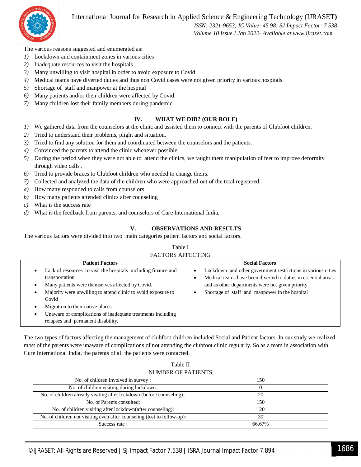

#### International Journal for Research in Applied Science & Engineering Technology (IJRASET**)**

 *ISSN: 2321-9653; IC Value: 45.98; SJ Impact Factor: 7.538 Volume 10 Issue I Jan 2022- Available at www.ijraset.com*

The various reasons suggested and enumerated as:

- *1)* Lockdown and containment zones in various cities
- *2)* Inadequate resources to visit the hospitals .
- *3)* Many unwilling to visit hospital in order to avoid exposure to Covid
- *4)* Medical teams have diverted duties and thus non Covid cases were not given priority in various hospitals.
- *5)* Shortage of staff and manpower at the hospital
- *6)* Many patients and/or their children were affected by Covid.
- *7)* Many children lost their family members during pandemic.

#### **IV. WHAT WE DID? (OUR ROLE)**

- *1)* We gathered data from the counselors at the clinic and assisted them to connect with the parents of Clubfoot children.
- *2)* Tried to understand their problems, plight and situation.
- *3)* Tried to find any solution for them and coordinated between the counselors and the patients.
- *4)* Convinced the parents to attend the clinic whenever possible
- *5)* During the period when they were not able to attend the clinics, we taught them manipulation of feet to improve deformity through video calls .
- *6)* Tried to provide braces to Clubfoot children who needed to change theirs.
- *7)* Collected and analyzed the data of the children who were approached out of the total registered.
- *a)* How many responded to calls from counselors
- *b)* How many patients attended clinics after counseling
- *c)* What is the success rate
- *d)* What is the feedback from parents, and counselors of Cure International India.

#### **V. OBSERVATIONS AND RESULTS**

The various factors were divided into two main categories patient factors and social factors.

#### Table I FACTORS AFFECTING

| <b>Patient Factors</b>                                                                                                                                                                                                                                                                                                                                  | <b>Social Factors</b>                                                                                                                                                                                                                            |
|---------------------------------------------------------------------------------------------------------------------------------------------------------------------------------------------------------------------------------------------------------------------------------------------------------------------------------------------------------|--------------------------------------------------------------------------------------------------------------------------------------------------------------------------------------------------------------------------------------------------|
| Lack of resources to visit the hospitals including finance and<br>transportation<br>Many patients were themselves affected by Covid.<br>Majority were unwilling to attend clinic to avoid exposure to<br>Covid<br>Migration to their native places<br>Unaware of complications of inadequate treatments including<br>relapses and permanent disability. | Lockdown and other government restrictions in various cities<br>Medical teams have been diverted to duties in essential areas<br>$\bullet$<br>and as other departments were not given priority<br>Shortage of staff and manpower in the hospital |

The two types of factors affecting the management of clubfoot children included Social and Patient factors. In our study we realized most of the parents were unaware of complications of not attending the clubfoot clinic regularly. So as a team in association with Cure International India, the parents of all the patients were contacted.

Table II NUMBER OF PATIENTS

| No. of children involved in survey :                                    | l 50   |
|-------------------------------------------------------------------------|--------|
| No. of children visiting during lockdown:                               |        |
| No. of children already visiting after lockdown (before counseling):    | 20     |
| No. of Parents consulted:                                               | 150.   |
| No. of children visiting after lockdown(after counseling):              | 120    |
| No. of children not visiting even after counseling (lost to follow-up): | 30     |
| Success rate:                                                           | 66.67% |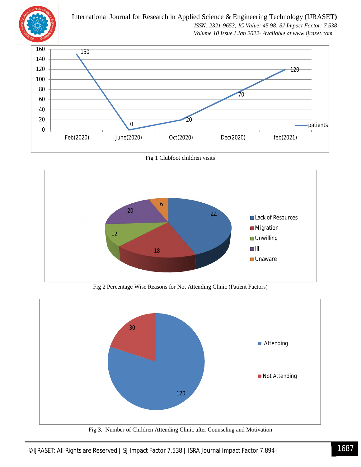

International Journal for Research in Applied Science & Engineering Technology (IJRASET**)**  *ISSN: 2321-9653; IC Value: 45.98; SJ Impact Factor: 7.538 Volume 10 Issue I Jan 2022- Available at www.ijraset.com*



Fig 1 Clubfoot children visits



Fig 2 Percentage Wise Reasons for Not Attending Clinic (Patient Factors)



Fig 3. Number of Children Attending Clinic after Counseling and Motivation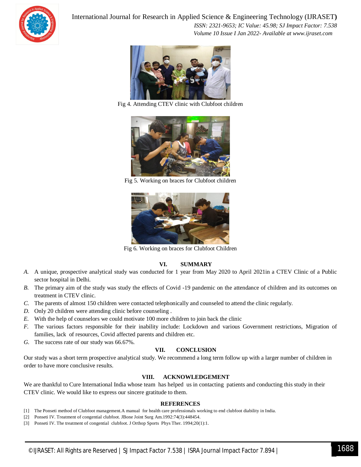

International Journal for Research in Applied Science & Engineering Technology (IJRASET**)**

 *ISSN: 2321-9653; IC Value: 45.98; SJ Impact Factor: 7.538 Volume 10 Issue I Jan 2022- Available at www.ijraset.com*



Fig 4. Attending CTEV clinic with Clubfoot children



Fig 5. Working on braces for Clubfoot children



Fig 6. Working on braces for Clubfoot Children

#### **VI. SUMMARY**

- *A.* A unique, prospective analytical study was conducted for 1 year from May 2020 to April 2021in a CTEV Clinic of a Public sector hospital in Delhi.
- *B.* The primary aim of the study was study the effects of Covid -19 pandemic on the attendance of children and its outcomes on treatment in CTEV clinic.
- *C.* The parents of almost 150 children were contacted telephonically and counseled to attend the clinic regularly.
- *D.* Only 20 children were attending clinic before counseling .
- *E.* With the help of counselors we could motivate 100 more children to join back the clinic
- *F.* The various factors responsible for their inability include: Lockdown and various Government restrictions, Migration of families, lack of resources, Covid affected parents and children etc.
- *G.* The success rate of our study was 66.67%.

#### **VII. CONCLUSION**

Our study was a short term prospective analytical study. We recommend a long term follow up with a larger number of children in order to have more conclusive results.

#### **VIII. ACKNOWLEDGEMENT**

We are thankful to Cure International India whose team has helped us in contacting patients and conducting this study in their CTEV clinic. We would like to express our sincere gratitude to them.

#### **REFERENCES**

- [1] The Ponseti method of Clubfoot management.A manual for health care professionals working to end clubfoot diability in India.
- [2] Ponseti IV. Treatment of congential clubfoot. JBone Joint Surg Am.1992:74(3):448454.
- [3] Ponseti IV. The treatment of congential clubfoot. J Orthop Sports Phys Ther. 1994;20(1):1.